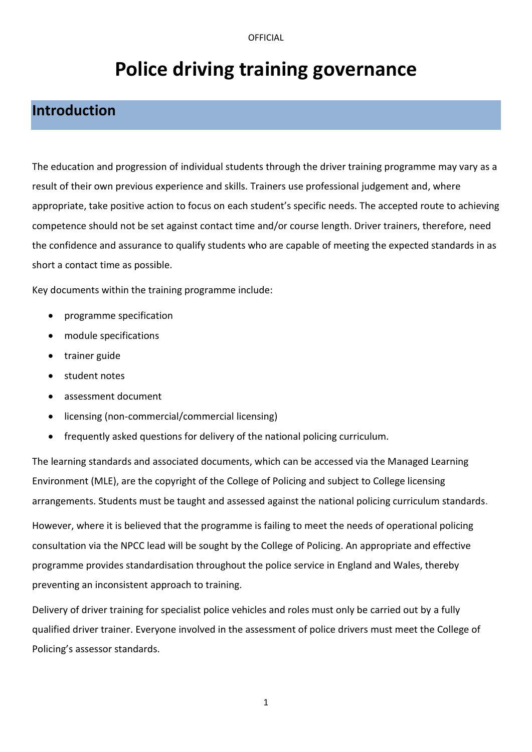# **Police driving training governance**

# **Introduction**

The education and progression of individual students through the driver training programme may vary as a result of their own previous experience and skills. Trainers use professional judgement and, where appropriate, take positive action to focus on each student's specific needs. The accepted route to achieving competence should not be set against contact time and/or course length. Driver trainers, therefore, need the confidence and assurance to qualify students who are capable of meeting the expected standards in as short a contact time as possible.

Key documents within the training programme include:

- programme specification
- module specifications
- trainer guide
- student notes
- assessment document
- licensing (non-commercial/commercial licensing)
- frequently asked questions for delivery of the national policing curriculum.

The learning standards and associated documents, which can be accessed via the Managed Learning Environment (MLE), are the copyright of the College of Policing and subject to College licensing arrangements. Students must be taught and assessed against the national policing curriculum standards.

However, where it is believed that the programme is failing to meet the needs of operational policing consultation via the NPCC lead will be sought by the College of Policing. An appropriate and effective programme provides standardisation throughout the police service in England and Wales, thereby preventing an inconsistent approach to training.

Delivery of driver training for specialist police vehicles and roles must only be carried out by a fully qualified driver trainer. Everyone involved in the assessment of police drivers must meet the College of Policing's assessor standards.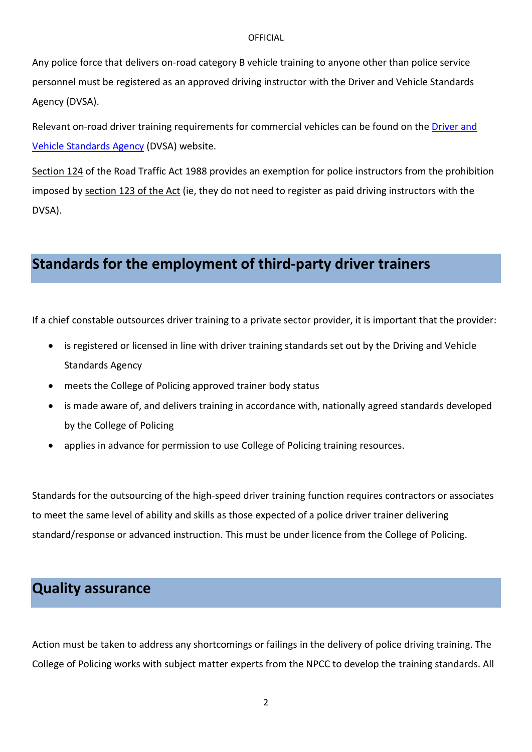Any police force that delivers on-road category B vehicle training to anyone other than police service personnel must be registered as an approved driving instructor with the Driver and Vehicle Standards Agency (DVSA).

Relevant on-road driver training requirements for commercial vehicles can be found on the [Driver and](https://www.gov.uk/government/organisations/driver-and-vehicle-standards-agency)  [Vehicle Standards Agency](https://www.gov.uk/government/organisations/driver-and-vehicle-standards-agency) (DVSA) website.

[Section 124](http://www.legislation.gov.uk/ukpga/1988/52/section/124) of the Road Traffic Act 1988 provides an exemption for police instructors from the prohibition imposed by [section 123](http://www.legislation.gov.uk/ukpga/1988/52/section/123) of the Act (ie, they do not need to register as paid driving instructors with the DVSA).

## **Standards for the employment of third-party driver trainers**

If a chief constable outsources driver training to a private sector provider, it is important that the provider:

- is registered or licensed in line with driver training standards set out by the Driving and Vehicle Standards Agency
- meets the College of Policing approved trainer body status
- is made aware of, and delivers training in accordance with, nationally agreed standards developed by the College of Policing
- applies in advance for permission to use College of Policing training resources.

Standards for the outsourcing of the high-speed driver training function requires contractors or associates to meet the same level of ability and skills as those expected of a police driver trainer delivering standard/response or advanced instruction. This must be under licence from the College of Policing.

# **Quality assurance**

Action must be taken to address any shortcomings or failings in the delivery of police driving training. The College of Policing works with subject matter experts from the NPCC to develop the training standards. All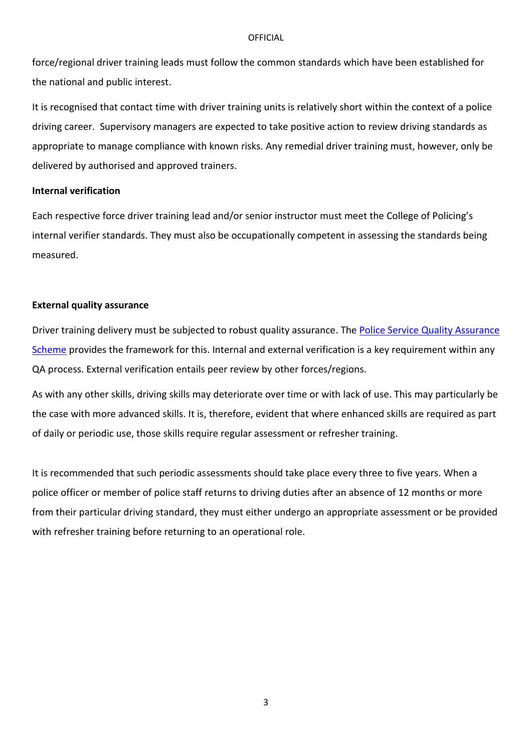force/regional driver training leads must follow the common standards which have been established for the national and public interest.

It is recognised that contact time with driver training units is relatively short within the context of a police driving career. Supervisory managers are expected to take positive action to review driving standards as appropriate to manage compliance with known risks. Any remedial driver training must, however, only be delivered by authorised and approved trainers.

### **Internal verification**

Each respective force driver training lead and/or senior instructor must meet the College of Policing's internal verifier standards. They must also be occupationally competent in assessing the standards being measured.

#### **External quality assurance**

Driver training delivery must be subjected to robust quality assurance. The [Police Service Quality Assurance](http://www.college.police.uk/What-we-do/Support/Learning/Pages/Police-Service-Quality-Assurance-Scheme.aspx)  [Scheme](http://www.college.police.uk/What-we-do/Support/Learning/Pages/Police-Service-Quality-Assurance-Scheme.aspx) provides the framework for this. Internal and external verification is a key requirement within any QA process. External verification entails peer review by other forces/regions.

As with any other skills, driving skills may deteriorate over time or with lack of use. This may particularly be the case with more advanced skills. It is, therefore, evident that where enhanced skills are required as part of daily or periodic use, those skills require regular assessment or refresher training.

It is recommended that such periodic assessments should take place every three to five years. When a police officer or member of police staff returns to driving duties after an absence of 12 months or more from their particular driving standard, they must either undergo an appropriate assessment or be provided with refresher training before returning to an operational role.

3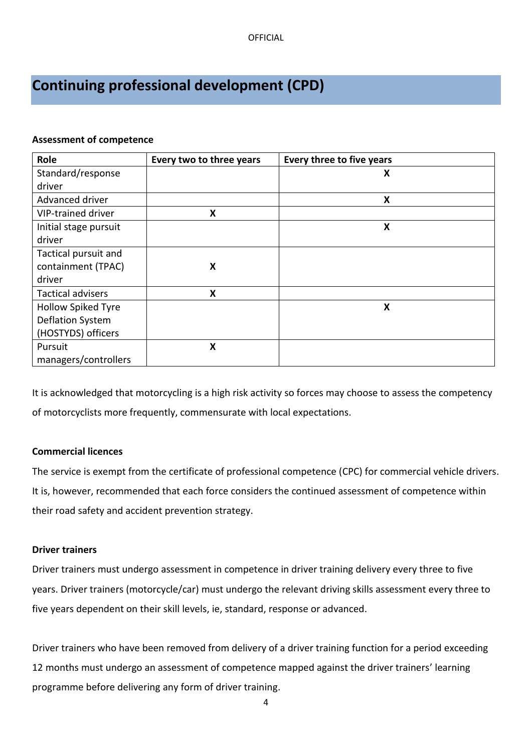# **Continuing professional development (CPD)**

### **Assessment of competence**

| Role                      | Every two to three years  | Every three to five years |
|---------------------------|---------------------------|---------------------------|
| Standard/response         |                           | X                         |
| driver                    |                           |                           |
| Advanced driver           |                           | X                         |
| VIP-trained driver        | X                         |                           |
| Initial stage pursuit     |                           | X                         |
| driver                    |                           |                           |
| Tactical pursuit and      |                           |                           |
| containment (TPAC)        | X                         |                           |
| driver                    |                           |                           |
| <b>Tactical advisers</b>  | $\boldsymbol{\mathsf{X}}$ |                           |
| <b>Hollow Spiked Tyre</b> |                           | X                         |
| <b>Deflation System</b>   |                           |                           |
| (HOSTYDS) officers        |                           |                           |
| Pursuit                   | X                         |                           |
| managers/controllers      |                           |                           |

It is acknowledged that motorcycling is a high risk activity so forces may choose to assess the competency of motorcyclists more frequently, commensurate with local expectations.

### **Commercial licences**

The service is exempt from the certificate of professional competence (CPC) for commercial vehicle drivers. It is, however, recommended that each force considers the continued assessment of competence within their road safety and accident prevention strategy.

### **Driver trainers**

Driver trainers must undergo assessment in competence in driver training delivery every three to five years. Driver trainers (motorcycle/car) must undergo the relevant driving skills assessment every three to five years dependent on their skill levels, ie, standard, response or advanced.

Driver trainers who have been removed from delivery of a driver training function for a period exceeding 12 months must undergo an assessment of competence mapped against the driver trainers' learning programme before delivering any form of driver training.